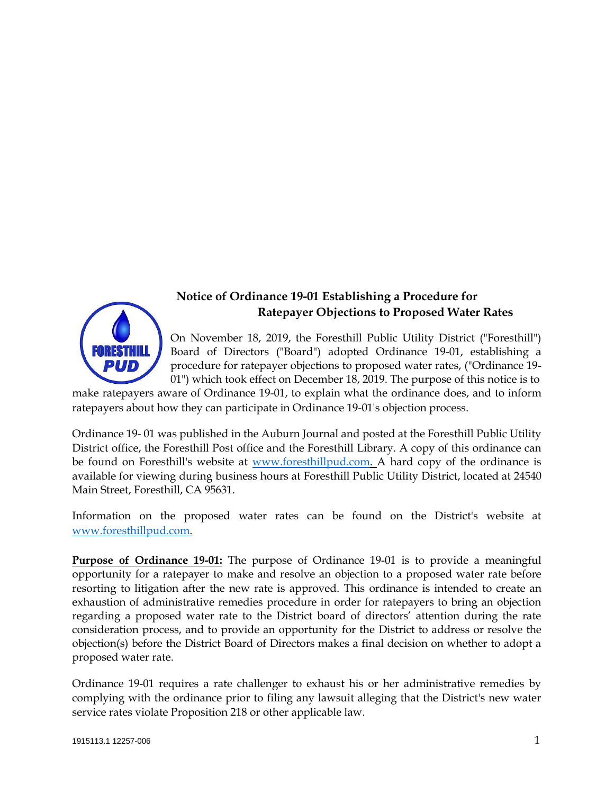

## **Notice of Ordinance 19-01 Establishing a Procedure for Ratepayer Objections to Proposed Water Rates**

On November 18, 2019, the Foresthill Public Utility District ("Foresthill") Board of Directors ("Board") adopted Ordinance 19-01, establishing a procedure for ratepayer objections to proposed water rates, ("Ordinance 19- 01") which took effect on December 18, 2019. The purpose of this notice is to

make ratepayers aware of Ordinance 19-01, to explain what the ordinance does, and to inform ratepayers about how they can participate in Ordinance 19-01's objection process.

Ordinance 19- 01 was published in the Auburn Journal and posted at the Foresthill Public Utility District office, the Foresthill Post office and the Foresthill Library. A copy of this ordinance can be found on Foresthill's website at [www.foresthillpud.com. A](http://www.foresthillpud.com/) hard copy of the ordinance is available for viewing during business hours at Foresthill Public Utility District, located at 24540 Main Street, Foresthill, CA 95631.

Information on the proposed water rates can be found on the District's website at [www.foresthillpud.com.](http://www.foresthillpud.com/) 

**Purpose of Ordinance 19-01:** The purpose of Ordinance 19-01 is to provide a meaningful opportunity for a ratepayer to make and resolve an objection to a proposed water rate before resorting to litigation after the new rate is approved. This ordinance is intended to create an exhaustion of administrative remedies procedure in order for ratepayers to bring an objection regarding a proposed water rate to the District board of directors' attention during the rate consideration process, and to provide an opportunity for the District to address or resolve the objection(s) before the District Board of Directors makes a final decision on whether to adopt a proposed water rate.

Ordinance 19-01 requires a rate challenger to exhaust his or her administrative remedies by complying with the ordinance prior to filing any lawsuit alleging that the District's new water service rates violate Proposition 218 or other applicable law.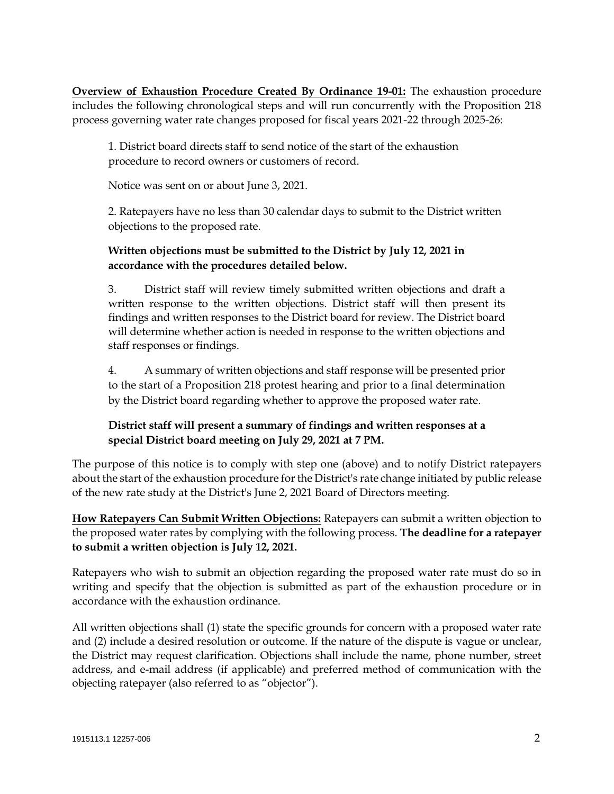**Overview of Exhaustion Procedure Created By Ordinance 19-01:** The exhaustion procedure includes the following chronological steps and will run concurrently with the Proposition 218 process governing water rate changes proposed for fiscal years 2021-22 through 2025-26:

1. District board directs staff to send notice of the start of the exhaustion procedure to record owners or customers of record.

Notice was sent on or about June 3, 2021.

2. Ratepayers have no less than 30 calendar days to submit to the District written objections to the proposed rate.

## **Written objections must be submitted to the District by July 12, 2021 in accordance with the procedures detailed below.**

3. District staff will review timely submitted written objections and draft a written response to the written objections. District staff will then present its findings and written responses to the District board for review. The District board will determine whether action is needed in response to the written objections and staff responses or findings.

4. A summary of written objections and staff response will be presented prior to the start of a Proposition 218 protest hearing and prior to a final determination by the District board regarding whether to approve the proposed water rate.

## **District staff will present a summary of findings and written responses at a special District board meeting on July 29, 2021 at 7 PM.**

The purpose of this notice is to comply with step one (above) and to notify District ratepayers about the start of the exhaustion procedure for the District's rate change initiated by public release of the new rate study at the District's June 2, 2021 Board of Directors meeting.

**How Ratepayers Can Submit Written Objections:** Ratepayers can submit a written objection to the proposed water rates by complying with the following process. **The deadline for a ratepayer to submit a written objection is July 12, 2021.**

Ratepayers who wish to submit an objection regarding the proposed water rate must do so in writing and specify that the objection is submitted as part of the exhaustion procedure or in accordance with the exhaustion ordinance.

All written objections shall (1) state the specific grounds for concern with a proposed water rate and (2) include a desired resolution or outcome. If the nature of the dispute is vague or unclear, the District may request clarification. Objections shall include the name, phone number, street address, and e-mail address (if applicable) and preferred method of communication with the objecting ratepayer (also referred to as "objector").